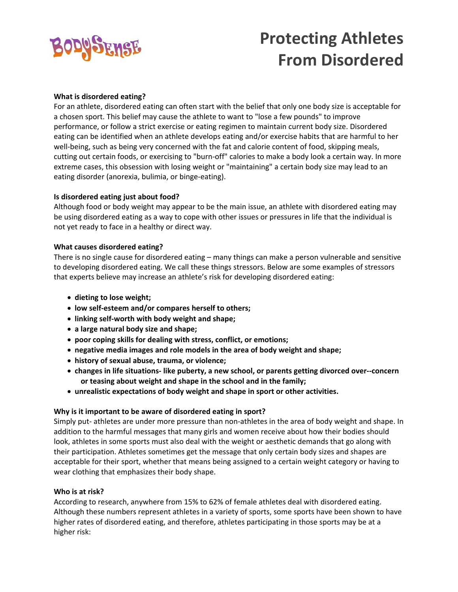

# **Protecting Athletes From Disordered**

#### **What is disordered eating?**

For an athlete, disordered eating can often start with the belief that only one body size is acceptable for a chosen sport. This belief may cause the athlete to want to "lose a few pounds" to improve performance, or follow a strict exercise or eating regimen to maintain current body size. Disordered eating can be identified when an athlete develops eating and/or exercise habits that are harmful to her well-being, such as being very concerned with the fat and calorie content of food, skipping meals, cutting out certain foods, or exercising to "burn‐off" calories to make a body look a certain way. In more extreme cases, this obsession with losing weight or "maintaining" a certain body size may lead to an eating disorder (anorexia, bulimia, or binge‐eating).

#### **Is disordered eating just about food?**

Although food or body weight may appear to be the main issue, an athlete with disordered eating may be using disordered eating as a way to cope with other issues or pressures in life that the individual is not yet ready to face in a healthy or direct way.

#### **What causes disordered eating?**

There is no single cause for disordered eating – many things can make a person vulnerable and sensitive to developing disordered eating. We call these things stressors. Below are some examples of stressors that experts believe may increase an athlete's risk for developing disordered eating:

- **dieting to lose weight;**
- **low self‐esteem and/or compares herself to others;**
- **linking self‐worth with body weight and shape;**
- **a large natural body size and shape;**
- **poor coping skills for dealing with stress, conflict, or emotions;**
- **negative media images and role models in the area of body weight and shape;**
- **history of sexual abuse, trauma, or violence;**
- **changes in life situations‐ like puberty, a new school, or parents getting divorced over‐‐concern or teasing about weight and shape in the school and in the family;**
- **unrealistic expectations of body weight and shape in sport or other activities.**

### **Why is it important to be aware of disordered eating in sport?**

Simply put‐ athletes are under more pressure than non‐athletes in the area of body weight and shape. In addition to the harmful messages that many girls and women receive about how their bodies should look, athletes in some sports must also deal with the weight or aesthetic demands that go along with their participation. Athletes sometimes get the message that only certain body sizes and shapes are acceptable for their sport, whether that means being assigned to a certain weight category or having to wear clothing that emphasizes their body shape.

### **Who is at risk?**

According to research, anywhere from 15% to 62% of female athletes deal with disordered eating. Although these numbers represent athletes in a variety of sports, some sports have been shown to have higher rates of disordered eating, and therefore, athletes participating in those sports may be at a higher risk: